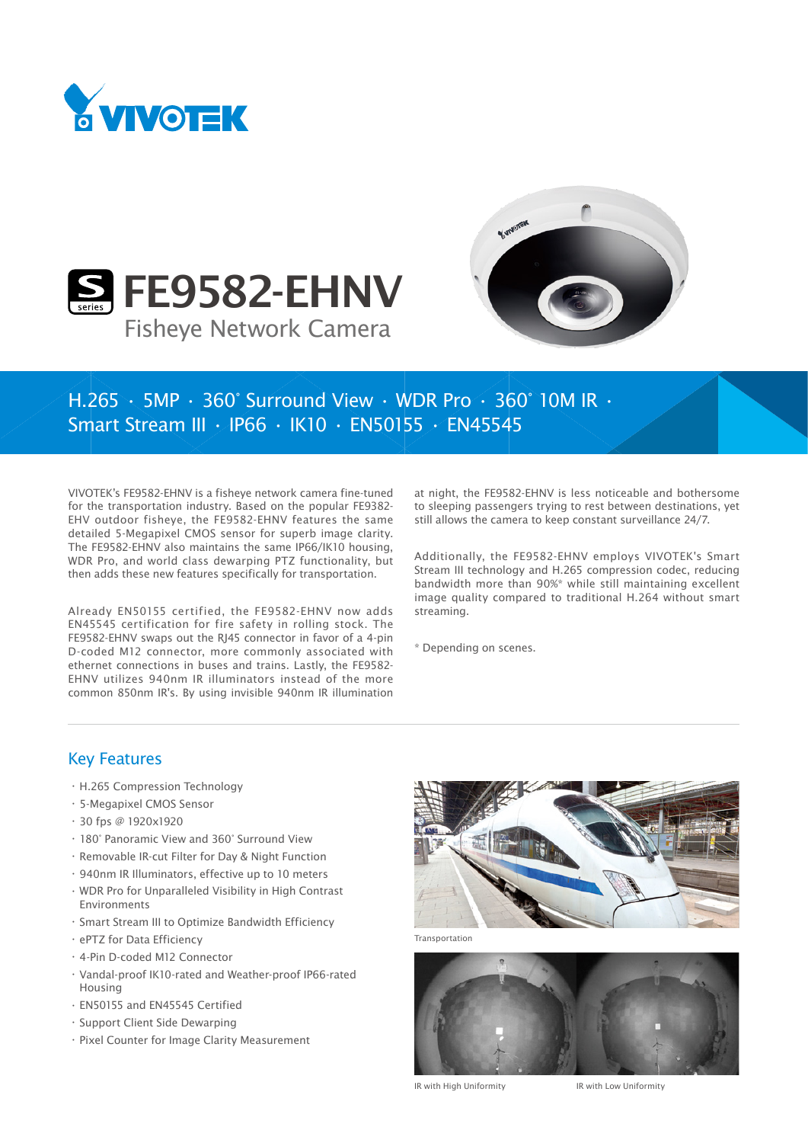





## H.265 • 5MP • 360° Surround View • WDR Pro • 360° 10M IR • Smart Stream III • IP66 • IK10 • EN50155 • EN45545

VIVOTEK's FE9582-EHNV is a fisheye network camera fine-tuned for the transportation industry. Based on the popular FE9382- EHV outdoor fisheye, the FE9582-EHNV features the same detailed 5-Megapixel CMOS sensor for superb image clarity. The FE9582-EHNV also maintains the same IP66/IK10 housing, WDR Pro, and world class dewarping PTZ functionality, but then adds these new features specifically for transportation.

Already EN50155 certified, the FE9582-EHNV now adds EN45545 certification for fire safety in rolling stock. The FE9582-EHNV swaps out the RJ45 connector in favor of a 4-pin D-coded M12 connector, more commonly associated with ethernet connections in buses and trains. Lastly, the FE9582- EHNV utilizes 940nm IR illuminators instead of the more common 850nm IR's. By using invisible 940nm IR illumination at night, the FE9582-EHNV is less noticeable and bothersome to sleeping passengers trying to rest between destinations, yet still allows the camera to keep constant surveillance 24/7.

Additionally, the FE9582-EHNV employs VIVOTEK's Smart Stream III technology and H.265 compression codec, reducing bandwidth more than 90%\* while still maintaining excellent image quality compared to traditional H.264 without smart streaming.

\* Depending on scenes.

## Key Features

- • H.265 Compression Technology
- • 5-Megapixel CMOS Sensor
- • 30 fps @ 1920x1920
- • 180° Panoramic View and 360° Surround View
- • Removable IR-cut Filter for Day & Night Function
- • 940nm IR Illuminators, effective up to 10 meters
- • WDR Pro for Unparalleled Visibility in High Contrast Environments
- • Smart Stream III to Optimize Bandwidth Efficiency
- • ePTZ for Data Efficiency
- • 4-Pin D-coded M12 Connector
- • Vandal-proof IK10-rated and Weather-proof IP66-rated Housing
- • EN50155 and EN45545 Certified
- • Support Client Side Dewarping
- • Pixel Counter for Image Clarity Measurement



Transportation



IR with High Uniformity IR with Low Uniformity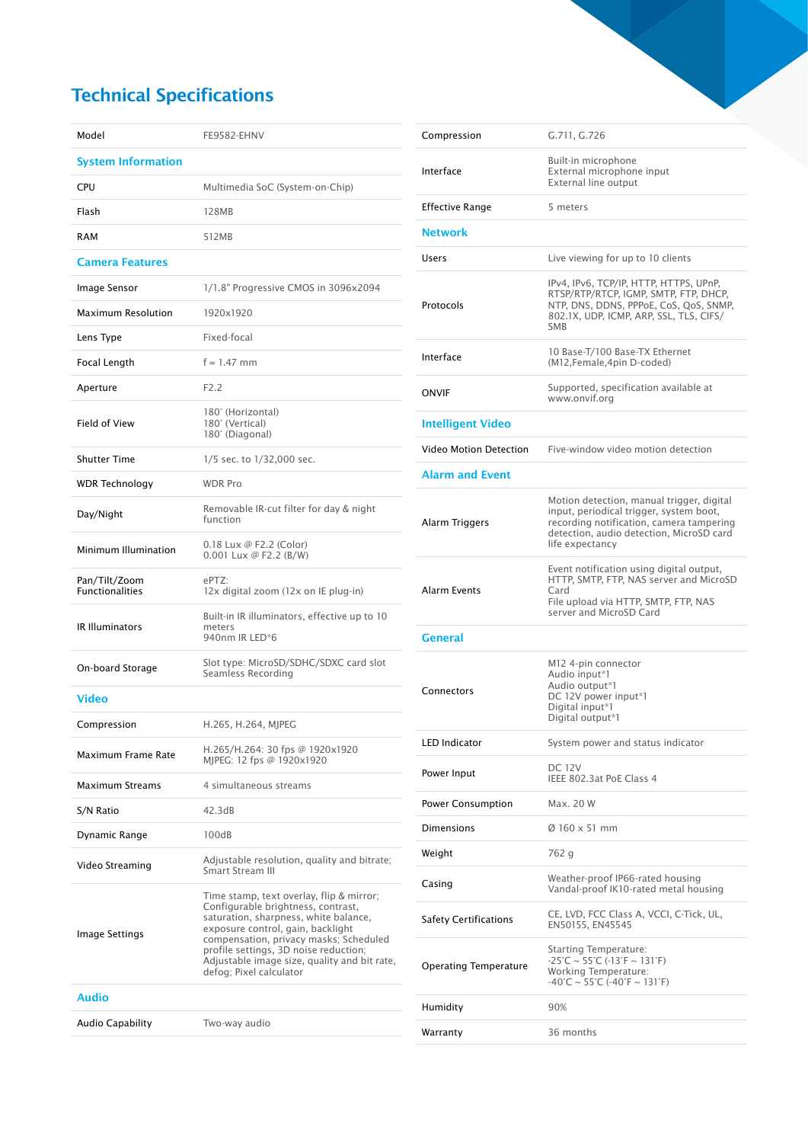## Technical Specifications

| Model                                   | FE9582-EHNV                                                                                                                                                                                                                                                                                                                |
|-----------------------------------------|----------------------------------------------------------------------------------------------------------------------------------------------------------------------------------------------------------------------------------------------------------------------------------------------------------------------------|
| <b>System Information</b>               |                                                                                                                                                                                                                                                                                                                            |
| CPU                                     | Multimedia SoC (System-on-Chip)                                                                                                                                                                                                                                                                                            |
| Flash                                   | 128MB                                                                                                                                                                                                                                                                                                                      |
| RAM                                     | 512MB                                                                                                                                                                                                                                                                                                                      |
| <b>Camera Features</b>                  |                                                                                                                                                                                                                                                                                                                            |
| Image Sensor                            | 1/1.8" Progressive CMOS in 3096x2094                                                                                                                                                                                                                                                                                       |
| <b>Maximum Resolution</b>               | 1920x1920                                                                                                                                                                                                                                                                                                                  |
| Lens Type                               | Fixed-focal                                                                                                                                                                                                                                                                                                                |
| Focal Length                            | $f = 1.47$ mm                                                                                                                                                                                                                                                                                                              |
| Aperture                                | F2.2                                                                                                                                                                                                                                                                                                                       |
| Field of View                           | 180° (Horizontal)<br>180° (Vertical)<br>180° (Diagonal)                                                                                                                                                                                                                                                                    |
| <b>Shutter Time</b>                     | 1/5 sec. to 1/32,000 sec.                                                                                                                                                                                                                                                                                                  |
| <b>WDR Technology</b>                   | <b>WDR Pro</b>                                                                                                                                                                                                                                                                                                             |
| Day/Night                               | Removable IR-cut filter for day & night<br>function                                                                                                                                                                                                                                                                        |
| Minimum Illumination                    | 0.18 Lux @ F2.2 (Color)<br>0.001 Lux @ F2.2 (B/W)                                                                                                                                                                                                                                                                          |
| Pan/Tilt/Zoom<br><b>Functionalities</b> | ePTZ:<br>12x digital zoom (12x on IE plug-in)                                                                                                                                                                                                                                                                              |
| <b>IR Illuminators</b>                  | Built-in IR illuminators, effective up to 10<br>meters<br>940nm IR LED*6                                                                                                                                                                                                                                                   |
| On-board Storage                        | Slot type: MicroSD/SDHC/SDXC card slot<br>Seamless Recording                                                                                                                                                                                                                                                               |
| <b>Video</b>                            |                                                                                                                                                                                                                                                                                                                            |
| Compression                             | H.265, H.264, MJPEG                                                                                                                                                                                                                                                                                                        |
| Maximum Frame Rate                      | H.265/H.264: 30 fps @ 1920x1920<br>MJPEG: 12 fps @ 1920x1920                                                                                                                                                                                                                                                               |
| <b>Maximum Streams</b>                  | 4 simultaneous streams                                                                                                                                                                                                                                                                                                     |
| S/N Ratio                               | 42.3dB                                                                                                                                                                                                                                                                                                                     |
| Dynamic Range                           | 100dB                                                                                                                                                                                                                                                                                                                      |
| Video Streaming                         | Adjustable resolution, quality and bitrate;<br>Smart Stream III                                                                                                                                                                                                                                                            |
| Image Settings                          | Time stamp, text overlay, flip & mirror;<br>Configurable brightness, contrast,<br>saturation, sharpness, white balance,<br>exposure control, gain, backlight<br>compensation, privacy masks; Scheduled<br>profile settings, 3D noise reduction;<br>Adjustable image size, quality and bit rate,<br>defog; Pixel calculator |
| Audio                                   |                                                                                                                                                                                                                                                                                                                            |
| Audio Capability                        | Two-way audio                                                                                                                                                                                                                                                                                                              |

| Compression                  | G.711, G.726                                                                                                                                                                                                      |
|------------------------------|-------------------------------------------------------------------------------------------------------------------------------------------------------------------------------------------------------------------|
| Interface                    | Built-in microphone<br>External microphone input<br>External line output                                                                                                                                          |
| <b>Effective Range</b>       | 5 meters                                                                                                                                                                                                          |
| <b>Network</b>               |                                                                                                                                                                                                                   |
| Users                        | Live viewing for up to 10 clients                                                                                                                                                                                 |
| Protocols                    | IPv4, IPv6, TCP/IP, HTTP, HTTPS, UPnP,<br>RTSP/RTP/RTCP, IGMP, SMTP, FTP, DHCP,<br>NTP, DNS, DDNS, PPPoE, CoS, QoS, SNMP,<br>802.1X, UDP, ICMP, ARP, SSL, TLS, CIFS/<br><b>SMB</b>                                |
| Interface                    | 10 Base-T/100 Base-TX Ethernet<br>(M12, Female, 4pin D-coded)                                                                                                                                                     |
| ONVIF                        | Supported, specification available at<br>www.onvif.org                                                                                                                                                            |
| <b>Intelligent Video</b>     |                                                                                                                                                                                                                   |
| Video Motion Detection       | Five-window video motion detection                                                                                                                                                                                |
| <b>Alarm and Event</b>       |                                                                                                                                                                                                                   |
| Alarm Triggers               | Motion detection, manual trigger, digital<br>input, periodical trigger, system boot,<br>recording notification, camera tampering<br>detection, audio detection, MicroSD card<br>life expectancy                   |
| <b>Alarm Events</b>          | Event notification using digital output,<br>HTTP, SMTP, FTP, NAS server and MicroSD<br>Card<br>File upload via HTTP, SMTP, FTP, NAS<br>server and MicroSD Card                                                    |
| <b>General</b>               |                                                                                                                                                                                                                   |
| Connectors                   | M12 4-pin connector<br>Audio input*1<br>Audio output*1<br>DC 12V power input*1<br>Digital input*1<br>Digital output*1                                                                                             |
| <b>LED Indicator</b>         | System power and status indicator                                                                                                                                                                                 |
| Power Input                  | <b>DC 12V</b><br>IEEE 802.3at PoE Class 4                                                                                                                                                                         |
| <b>Power Consumption</b>     | Max. 20 W                                                                                                                                                                                                         |
| Dimensions                   | $\varnothing$ 160 x 51 mm                                                                                                                                                                                         |
| Weight                       | 762 g                                                                                                                                                                                                             |
| Casing                       | Weather-proof IP66-rated housing<br>Vandal-proof IK10-rated metal housing                                                                                                                                         |
| <b>Safety Certifications</b> | CE, LVD, FCC Class A, VCCI, C-Tick, UL,<br>EN50155, EN45545                                                                                                                                                       |
| <b>Operating Temperature</b> | <b>Starting Temperature:</b><br>$-25^{\circ}$ C ~ 55 $^{\circ}$ C (-13 $^{\circ}$ F ~ 131 $^{\circ}$ F)<br><b>Working Temperature:</b><br>$-40^{\circ}$ C ~ 55 $^{\circ}$ C ( $-40^{\circ}$ F ~ 131 $^{\circ}$ F) |
| Humidity                     | 90%                                                                                                                                                                                                               |
| Warranty                     | 36 months                                                                                                                                                                                                         |
|                              |                                                                                                                                                                                                                   |